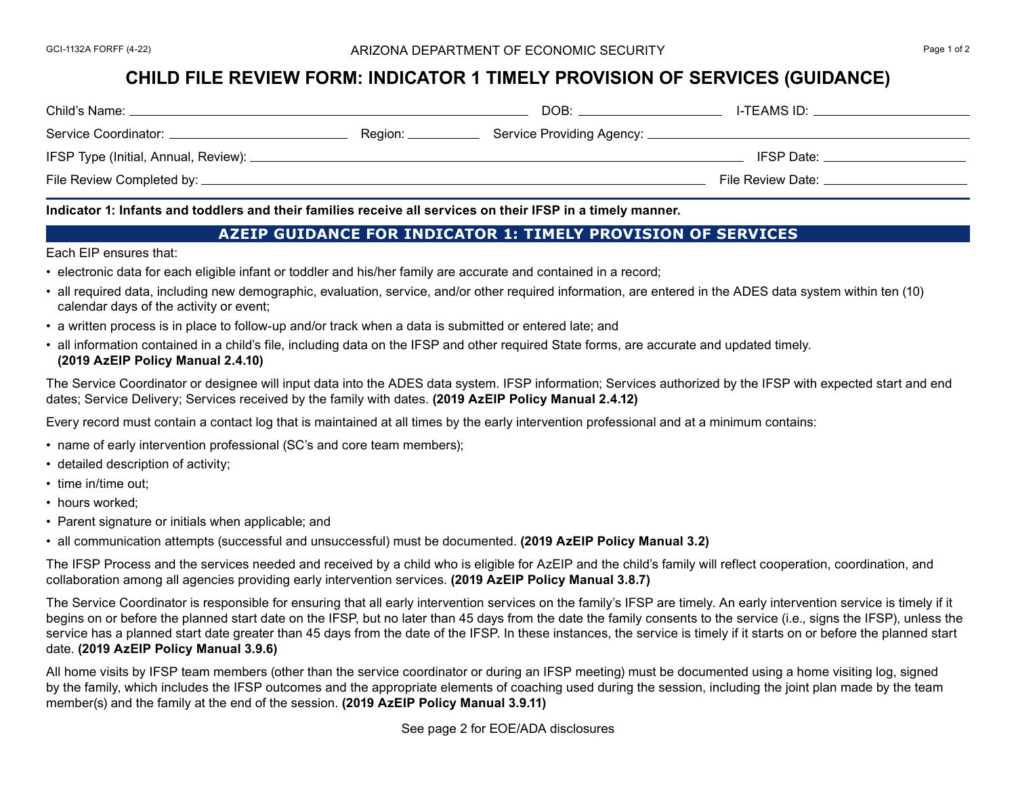### GCI-1132A FORFF (4-22) **Exercise 2 ARIZONA DEPARTMENT OF ECONOMIC SECURITY SECURITY Page 1 of 2**

# **CHILD FILE REVIEW FORM: INDICATOR 1 TIMELY PROVISION OF SERVICES (GUIDANCE)**

| Child's Name:                      | DOB:                                | I-TEAMS ID:       |
|------------------------------------|-------------------------------------|-------------------|
| Service Coordinator:<br>Region: __ | Service Providing Agency: _________ |                   |
|                                    |                                     | IFSP Date:        |
|                                    |                                     | File Review Date: |

**Indicator 1: Infants and toddlers and their families receive all services on their IFSP in a timely manner.** 

## **AZEIP GUIDANCE FOR INDICATOR 1: TIMELY PROVISION OF SERVICES**

Each EIP ensures that:

- electronic data for each eligible infant or toddler and his/her family are accurate and contained in a record;
- all required data, including new demographic, evaluation, service, and/or other required information, are entered in the ADES data system within ten (10) calendar days of the activity or event;
- a written process is in place to follow-up and/or track when a data is submitted or entered late; and
- all information contained in a child's file, including data on the IFSP and other required State forms, are accurate and updated timely. **(2019 AzEIP Policy Manual 2.4.10)**

The Service Coordinator or designee will input data into the ADES data system. IFSP information; Services authorized by the IFSP with expected start and end dates; Service Delivery; Services received by the family with dates. **(2019 AzEIP Policy Manual 2.4.12)**

Every record must contain a contact log that is maintained at all times by the early intervention professional and at a minimum contains:

- name of early intervention professional (SC's and core team members);
- detailed description of activity;
- time in/time out:
- hours worked;
- Parent signature or initials when applicable; and
- all communication attempts (successful and unsuccessful) must be documented. **(2019 AzEIP Policy Manual 3.2)**

The IFSP Process and the services needed and received by a child who is eligible for AzEIP and the child's family will reflect cooperation, coordination, and collaboration among all agencies providing early intervention services. **(2019 AzEIP Policy Manual 3.8.7)**

The Service Coordinator is responsible for ensuring that all early intervention services on the family's IFSP are timely. An early intervention service is timely if it begins on or before the planned start date on the IFSP, but no later than 45 days from the date the family consents to the service (i.e., signs the IFSP), unless the service has a planned start date greater than 45 days from the date of the IFSP. In these instances, the service is timely if it starts on or before the planned start date. **(2019 AzEIP Policy Manual 3.9.6)**

All home visits by IFSP team members (other than the service coordinator or during an IFSP meeting) must be documented using a home visiting log, signed by the family, which includes the IFSP outcomes and the appropriate elements of coaching used during the session, including the joint plan made by the team member(s) and the family at the end of the session. **(2019 AzEIP Policy Manual 3.9.11)**

See page 2 for EOE/ADA disclosures